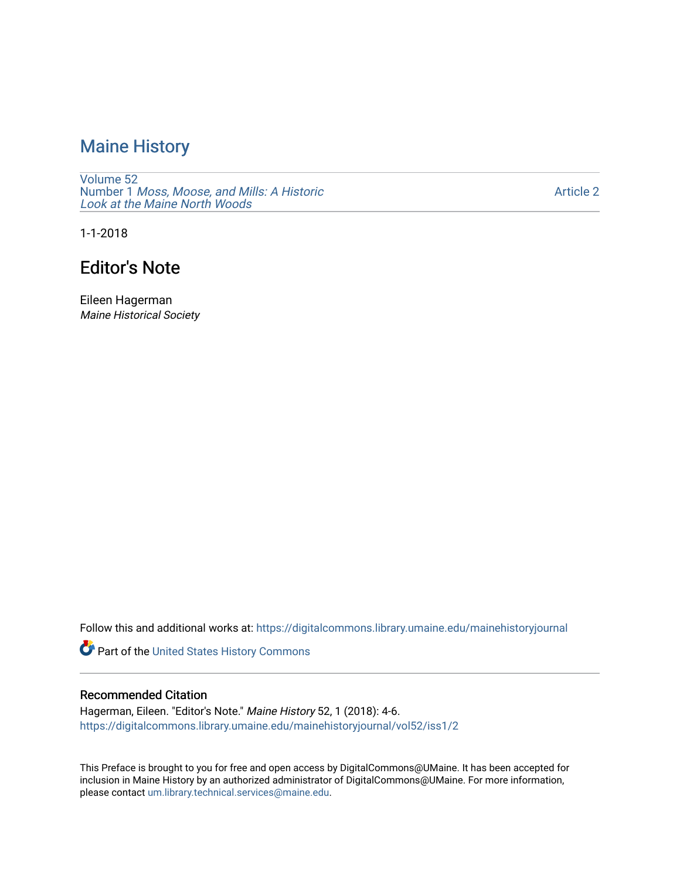## [Maine History](https://digitalcommons.library.umaine.edu/mainehistoryjournal)

[Volume 52](https://digitalcommons.library.umaine.edu/mainehistoryjournal/vol52) Number 1 [Moss, Moose, and Mills: A Historic](https://digitalcommons.library.umaine.edu/mainehistoryjournal/vol52/iss1) [Look at the Maine North Woods](https://digitalcommons.library.umaine.edu/mainehistoryjournal/vol52/iss1) 

[Article 2](https://digitalcommons.library.umaine.edu/mainehistoryjournal/vol52/iss1/2) 

1-1-2018

## Editor's Note

Eileen Hagerman Maine Historical Society

Follow this and additional works at: [https://digitalcommons.library.umaine.edu/mainehistoryjournal](https://digitalcommons.library.umaine.edu/mainehistoryjournal?utm_source=digitalcommons.library.umaine.edu%2Fmainehistoryjournal%2Fvol52%2Fiss1%2F2&utm_medium=PDF&utm_campaign=PDFCoverPages) 

Part of the [United States History Commons](http://network.bepress.com/hgg/discipline/495?utm_source=digitalcommons.library.umaine.edu%2Fmainehistoryjournal%2Fvol52%2Fiss1%2F2&utm_medium=PDF&utm_campaign=PDFCoverPages) 

### Recommended Citation

Hagerman, Eileen. "Editor's Note." Maine History 52, 1 (2018): 4-6. [https://digitalcommons.library.umaine.edu/mainehistoryjournal/vol52/iss1/2](https://digitalcommons.library.umaine.edu/mainehistoryjournal/vol52/iss1/2?utm_source=digitalcommons.library.umaine.edu%2Fmainehistoryjournal%2Fvol52%2Fiss1%2F2&utm_medium=PDF&utm_campaign=PDFCoverPages)

This Preface is brought to you for free and open access by DigitalCommons@UMaine. It has been accepted for inclusion in Maine History by an authorized administrator of DigitalCommons@UMaine. For more information, please contact [um.library.technical.services@maine.edu.](mailto:um.library.technical.services@maine.edu)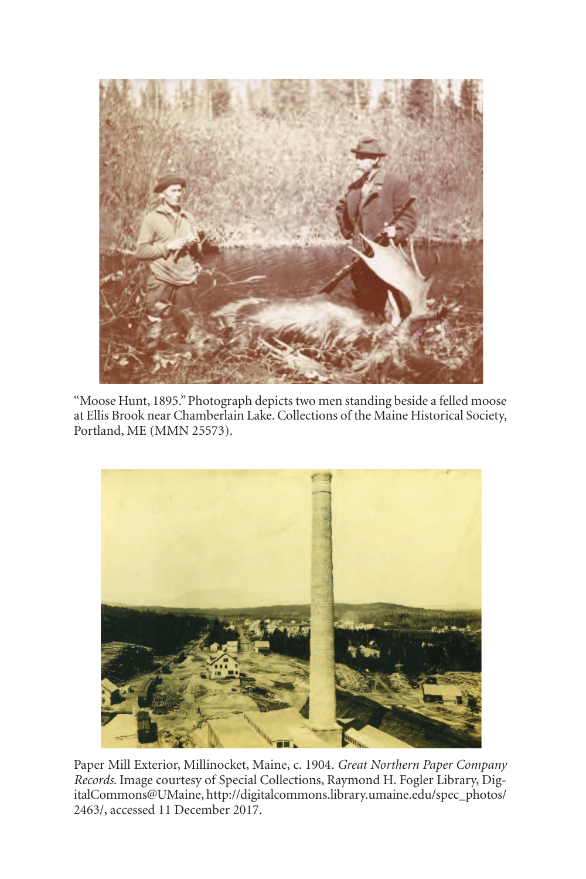

"Moose Hunt, 1895."Photograph depicts two men standing beside a felled moose at Ellis Brook near Chamberlain Lake.Collections of the Maine Historical Society, Portland, ME (MMN 25573).



Paper Mill Exterior, Millinocket, Maine, c. 1904. *Great Northern Paper Company Records*. Image courtesy of Special Collections, Raymond H. Fogler Library, DigitalCommons@UMaine, http://digitalcommons.library.umaine.edu/spec\_photos/ 2463/, accessed 11 December 2017.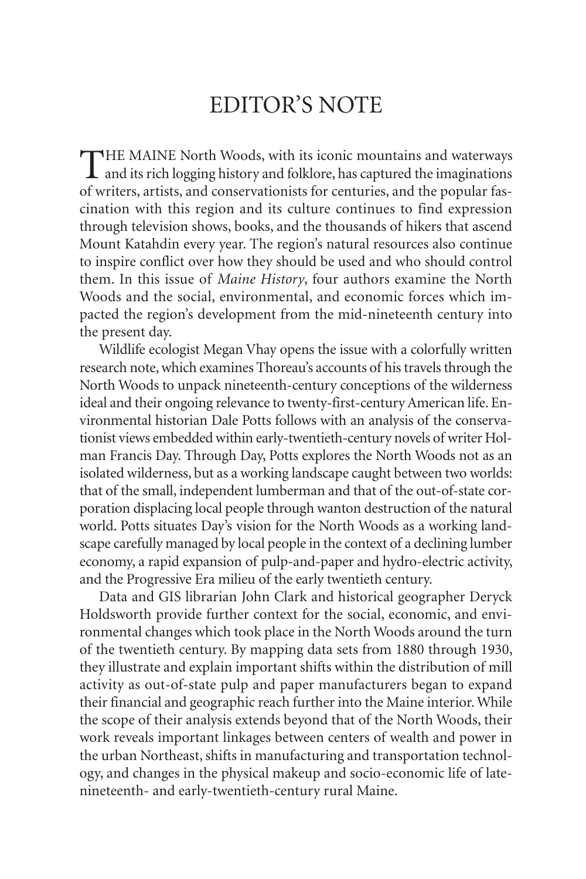# EDITOR'S NOTE

THE MAINE North Woods, with its iconic mountains and waterways<br>and its rich logging history and folklore, has captured the imaginations of writers, artists, and conservationists for centuries, and the popular fascination with this region and its culture continues to find expression through television shows, books, and the thousands of hikers that ascend Mount Katahdin every year. The region's natural resources also continue to inspire conflict over how they should be used and who should control them. In this issue of *Maine History*, four authors examine the North Woods and the social, environmental, and economic forces which impacted the region's development from the mid-nineteenth century into the present day.

Wildlife ecologist Megan Vhay opens the issue with a colorfully written research note, which examines Thoreau's accounts of his travels through the North Woods to unpack nineteenth-century conceptions of the wilderness ideal and their ongoing relevance to twenty-first-century American life. Environmental historian Dale Potts follows with an analysis of the conservationist views embedded within early-twentieth-century novels of writer Holman Francis Day. Through Day, Potts explores the North Woods not as an isolated wilderness, but as a working landscape caught between two worlds: that of the small, independent lumberman and that of the out-of-state corporation displacing local people through wanton destruction of the natural world. Potts situates Day's vision for the North Woods as a working landscape carefully managed by local people in the context of a declining lumber economy, a rapid expansion of pulp-and-paper and hydro-electric activity, and the Progressive Era milieu of the early twentieth century.

Data and GIS librarian John Clark and historical geographer Deryck Holdsworth provide further context for the social, economic, and environmental changes which took place in the North Woods around the turn of the twentieth century. By mapping data sets from 1880 through 1930, they illustrate and explain important shifts within the distribution of mill activity as out-of-state pulp and paper manufacturers began to expand their financial and geographic reach further into the Maine interior.While the scope of their analysis extends beyond that of the North Woods, their work reveals important linkages between centers of wealth and power in the urban Northeast, shifts in manufacturing and transportation technology, and changes in the physical makeup and socio-economic life of latenineteenth- and early-twentieth-century rural Maine.